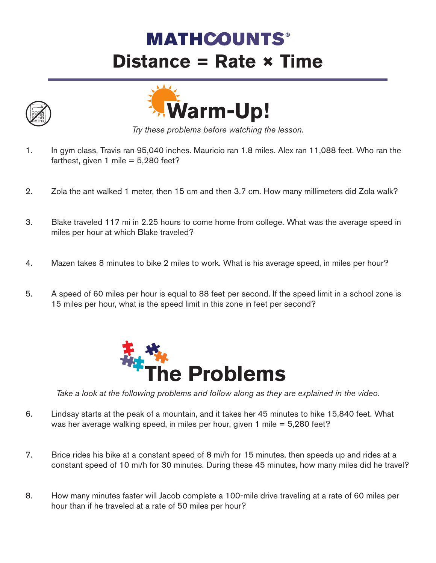## **MATHCOUNTS® Distance = Rate × Time**





*Try these problems before watching the lesson.*

- 1. In gym class, Travis ran 95,040 inches. Mauricio ran 1.8 miles. Alex ran 11,088 feet. Who ran the farthest, given 1 mile =  $5,280$  feet?
- 2. Zola the ant walked 1 meter, then 15 cm and then 3.7 cm. How many millimeters did Zola walk?
- 3. Blake traveled 117 mi in 2.25 hours to come home from college. What was the average speed in miles per hour at which Blake traveled?
- 4. Mazen takes 8 minutes to bike 2 miles to work. What is his average speed, in miles per hour?
- 5. A speed of 60 miles per hour is equal to 88 feet per second. If the speed limit in a school zone is 15 miles per hour, what is the speed limit in this zone in feet per second?



*Take a look at the following problems and follow along as they are explained in the video.*

- 6. Lindsay starts at the peak of a mountain, and it takes her 45 minutes to hike 15,840 feet. What was her average walking speed, in miles per hour, given 1 mile = 5,280 feet?
- 7. Brice rides his bike at a constant speed of 8 mi/h for 15 minutes, then speeds up and rides at a constant speed of 10 mi/h for 30 minutes. During these 45 minutes, how many miles did he travel?
- 8. How many minutes faster will Jacob complete a 100-mile drive traveling at a rate of 60 miles per hour than if he traveled at a rate of 50 miles per hour?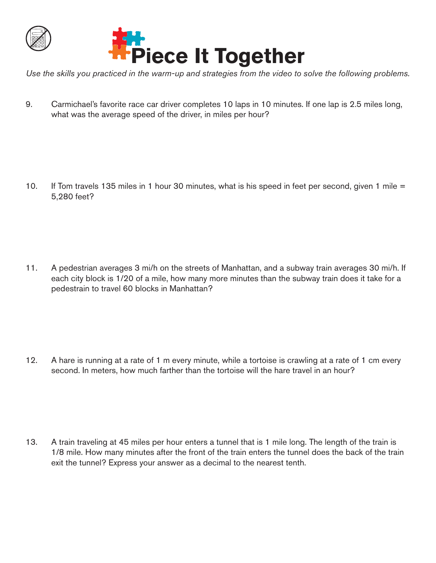



*Use the skills you practiced in the warm-up and strategies from the video to solve the following problems.*

9. Carmichael's favorite race car driver completes 10 laps in 10 minutes. If one lap is 2.5 miles long, what was the average speed of the driver, in miles per hour?

10. If Tom travels 135 miles in 1 hour 30 minutes, what is his speed in feet per second, given 1 mile = 5,280 feet?

11. A pedestrian averages 3 mi/h on the streets of Manhattan, and a subway train averages 30 mi/h. If each city block is 1/20 of a mile, how many more minutes than the subway train does it take for a pedestrain to travel 60 blocks in Manhattan?

12. A hare is running at a rate of 1 m every minute, while a tortoise is crawling at a rate of 1 cm every second. In meters, how much farther than the tortoise will the hare travel in an hour?

13. A train traveling at 45 miles per hour enters a tunnel that is 1 mile long. The length of the train is 1/8 mile. How many minutes after the front of the train enters the tunnel does the back of the train exit the tunnel? Express your answer as a decimal to the nearest tenth.